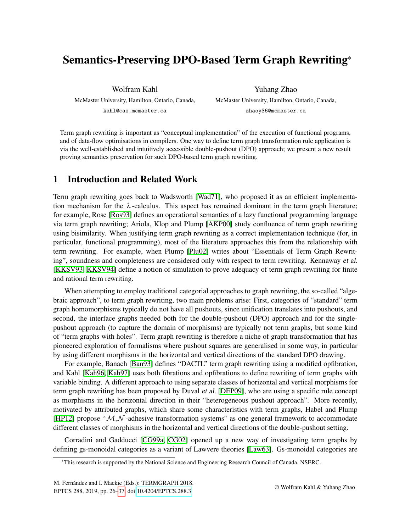# Semantics-Preserving DPO-Based Term Graph Rewriting\*

Wolfram Kahl

McMaster University, Hamilton, Ontario, Canada, kahl@cas.mcmaster.ca

Yuhang Zhao McMaster University, Hamilton, Ontario, Canada, zhaoy36@mcmaster.ca

Term graph rewriting is important as "conceptual implementation" of the execution of functional programs, and of data-flow optimisations in compilers. One way to define term graph transformation rule application is via the well-established and intuitively accessible double-pushout (DPO) approach; we present a new result proving semantics preservation for such DPO-based term graph rewriting.

# 1 Introduction and Related Work

Term graph rewriting goes back to Wadsworth [\[Wad71\]](#page-11-1), who proposed it as an efficient implementation mechanism for the  $\lambda$ -calculus. This aspect has remained dominant in the term graph literature; for example, Rose [\[Ros93\]](#page-11-2) defines an operational semantics of a lazy functional programming language via term graph rewriting; Ariola, Klop and Plump [\[AKP00\]](#page-9-0) study confluence of term graph rewriting using bisimilarity. When justifying term graph rewriting as a correct implementation technique (for, in particular, functional programming), most of the literature approaches this from the relationship with term rewriting. For example, when Plump [\[Plu02\]](#page-11-3) writes about "Essentials of Term Graph Rewriting", soundness and completeness are considered only with respect to term rewriting. Kennaway et al. [\[KKSV93,](#page-10-0) [KKSV94\]](#page-11-4) define a notion of simulation to prove adequacy of term graph rewriting for finite and rational term rewriting.

When attempting to employ traditional categorial approaches to graph rewriting, the so-called "algebraic approach", to term graph rewriting, two main problems arise: First, categories of "standard" term graph homomorphisms typically do not have all pushouts, since unification translates into pushouts, and second, the interface graphs needed both for the double-pushout (DPO) approach and for the singlepushout approach (to capture the domain of morphisms) are typically not term graphs, but some kind of "term graphs with holes". Term graph rewriting is therefore a niche of graph transformation that has pioneered exploration of formalisms where pushout squares are generalised in some way, in particular by using different morphisms in the horizontal and vertical directions of the standard DPO drawing.

For example, Banach [\[Ban93\]](#page-10-1) defines "DACTL" term graph rewriting using a modified opfibration, and Kahl [\[Kah96,](#page-10-2) [Kah97\]](#page-10-3) uses both fibrations and opfibrations to define rewriting of term graphs with variable binding. A different approach to using separate classes of horizontal and vertical morphisms for term graph rewriting has been proposed by Duval et al. [\[DEP09\]](#page-10-4), who are using a specific rule concept as morphisms in the horizontal direction in their "heterogeneous pushout approach". More recently, motivated by attributed graphs, which share some characteristics with term graphs, Habel and Plump [\[HP12\]](#page-10-5) propose " $M$ ,  $N$ -adhesive transformation systems" as one general framework to accommodate different classes of morphisms in the horizontal and vertical directions of the double-pushout setting.

Corradini and Gadducci [\[CG99a,](#page-10-6) [CG02\]](#page-10-7) opened up a new way of investigating term graphs by defining gs-monoidal categories as a variant of Lawvere theories [\[Law63\]](#page-11-5). Gs-monoidal categories are

<sup>\*</sup>This research is supported by the National Science and Engineering Research Council of Canada, NSERC.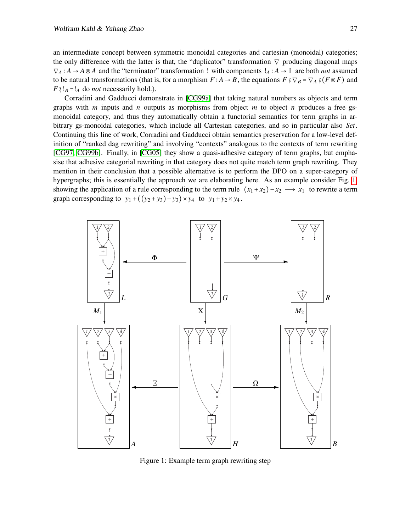an intermediate concept between symmetric monoidal categories and cartesian (monoidal) categories; the only difference with the latter is that, the "duplicator" transformation  $\nabla$  producing diagonal maps  $\nabla_A : A \to A \otimes A$  and the "terminator" transformation ! with components  $!_A : A \to \mathbb{1}$  are both *not* assumed to be natural transformations (that is, for a morphism  $F : A \to B$ , the equations  $F \circ \nabla_B = \nabla_A \circ (F \otimes F)$  and  $F \frac{1}{9}!_B =!_A$  do *not* necessarily hold.).

Corradini and Gadducci demonstrate in [\[CG99a\]](#page-10-6) that taking natural numbers as objects and term graphs with *m* inputs and *n* outputs as morphisms from object *m* to object *n* produces a free gsmonoidal category, and thus they automatically obtain a functorial semantics for term graphs in arbitrary gs-monoidal categories, which include all Cartesian categories, and so in particular also *Set*. Continuing this line of work, Corradini and Gadducci obtain semantics preservation for a low-level definition of "ranked dag rewriting" and involving "contexts" analogous to the contexts of term rewriting [\[CG97,](#page-10-8) [CG99b\]](#page-10-9). Finally, in [\[CG05\]](#page-10-10) they show a quasi-adhesive category of term graphs, but emphasise that adhesive categorial rewriting in that category does not quite match term graph rewriting. They mention in their conclusion that a possible alternative is to perform the DPO on a super-category of hypergraphs; this is essentially the approach we are elaborating here. As an example consider Fig. [1,](#page-1-0) showing the application of a rule corresponding to the term rule  $(x_1 + x_2) - x_2 \rightarrow x_1$  to rewrite a term graph corresponding to  $y_1 + ((y_2 + y_3) - y_3) \times y_4$  to  $y_1 + y_2 \times y_4$ .



<span id="page-1-0"></span>Figure 1: Example term graph rewriting step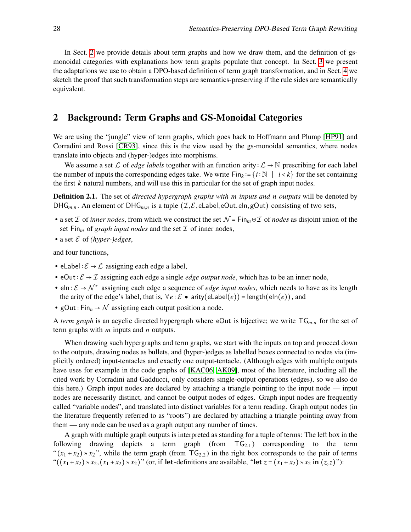In Sect. [2](#page-2-0) we provide details about term graphs and how we draw them, and the definition of gsmonoidal categories with explanations how term graphs populate that concept. In Sect. [3](#page-4-0) we present the adaptations we use to obtain a DPO-based definition of term graph transformation, and in Sect. [4](#page-6-0) we sketch the proof that such transformation steps are semantics-preserving if the rule sides are semantically equivalent.

## <span id="page-2-0"></span>2 Background: Term Graphs and GS-Monoidal Categories

We are using the "jungle" view of term graphs, which goes back to Hoffmann and Plump [\[HP91\]](#page-10-11) and Corradini and Rossi [\[CR93\]](#page-10-12), since this is the view used by the gs-monoidal semantics, where nodes translate into objects and (hyper-)edges into morphisms.

We assume a set L of *edge labels* together with an function arity :  $\mathcal{L} \to \mathbb{N}$  prescribing for each label the number of inputs the corresponding edges take. We write Fin<sub>k</sub> := {*i* ∶ N | *i* < *k*} for the set containing the first *k* natural numbers, and will use this in particular for the set of graph input nodes.

<span id="page-2-1"></span>Definition 2.1. The set of *directed hypergraph graphs with m inputs and n outputs* will be denoted by DHG<sub>*m*,*n*</sub>. An element of DHG<sub>*m*,*n*</sub> is a tuple  $(\mathcal{I}, \mathcal{E}, \mathsf{elabel}, \mathsf{eOut}, \mathsf{eln}, \mathsf{gOut})$  consisting of two sets,

- a set  $\mathcal I$  of *inner nodes*, from which we construct the set  $\mathcal N$  = Fin<sub>m</sub>  $\forall \mathcal I$  of *nodes* as disjoint union of the set Fin<sub>m</sub> of *graph input nodes* and the set  $\mathcal I$  of inner nodes,
- a set E of *(hyper-)edges*,

and four functions,

- eLabel :  $\mathcal{E} \rightarrow \mathcal{L}$  assigning each edge a label,
- eOut :  $\mathcal{E} \to \mathcal{I}$  assigning each edge a single *edge output node*, which has to be an inner node,
- eln:  $\mathcal{E} \to \mathcal{N}^*$  assigning each edge a sequence of *edge input nodes*, which needs to have as its length the arity of the edge's label, that is,  $∀e : E \bullet$  arity(eLabel(*e*)) = length(eln(*e*)), and
- gOut ∶ Fin*<sup>n</sup>* → N assigning each output position a node.

A *term graph* is an acyclic directed hypergraph where eOut is bijective; we write  $TG_{m,n}$  for the set of term graphs with *m* inputs and *n* outputs.  $\Box$ 

When drawing such hypergraphs and term graphs, we start with the inputs on top and proceed down to the outputs, drawing nodes as bullets, and (hyper-)edges as labelled boxes connected to nodes via (implicitly ordered) input-tentacles and exactly one output-tentacle. (Although edges with multiple outputs have uses for example in the code graphs of [\[KAC06,](#page-10-13) [AK09\]](#page-9-1), most of the literature, including all the cited work by Corradini and Gadducci, only considers single-output operations (edges), so we also do this here.) Graph input nodes are declared by attaching a triangle pointing to the input node — input nodes are necessarily distinct, and cannot be output nodes of edges. Graph input nodes are frequently called "variable nodes", and translated into distinct variables for a term reading. Graph output nodes (in the literature frequently referred to as "roots") are declared by attaching a triangle pointing away from them — any node can be used as a graph output any number of times.

A graph with multiple graph outputs is interpreted as standing for a tuple of terms: The left box in the following drawing depicts a term graph (from  $T_{\text{G}_{2,1}}$ ) corresponding to the term " $(x_1 + x_2) * x_2$ ", while the term graph (from  $TG_{2,2}$ ) in the right box corresponds to the pair of terms " $((x_1 + x_2) * x_2, (x_1 + x_2) * x_2)$ " (or, if let-definitions are available, "let  $z = (x_1 + x_2) * x_2$  in  $(z, z)$ "):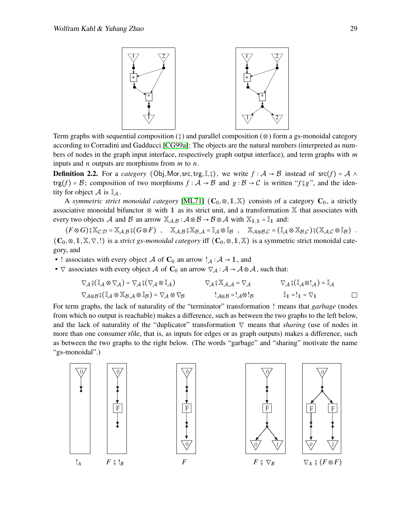

Term graphs with sequential composition  $(\frac{1}{2})$  and parallel composition ( $\otimes$ ) form a gs-monoidal category according to Corradini and Gadducci [\[CG99a\]](#page-10-6): The objects are the natural numbers (interpreted as numbers of nodes in the graph input interface, respectively graph output interface), and term graphs with *m* inputs and *n* outputs are morphisms from *m* to *n*.

**Definition 2.2.** For a *category* (Obj, Mor, src, trg, I,  $\hat{y}$ ), we write  $f : A \rightarrow B$  instead of src(*f*) = A  $\land$ trg(*f*) = *B*; composition of two morphisms *f* ∶ *A* → *B* and *g* ∶ *B* → *C* is written "*f*  ${}^{\circ}g$ ", and the identity for object  $\mathcal A$  is  $\mathbb I_{\mathcal A}$ .

A *symmetric strict monoidal category* [\[ML71\]](#page-11-6)  $(C_0, \otimes, 1, \mathbb{X})$  consists of a category  $C_0$ , a strictly associative monoidal bifunctor ⊗ with 1 as its strict unit, and a transformation X that associates with every two objects A and B an arrow  $\mathbb{X}_{A,B}$ :  $A \otimes B \rightarrow B \otimes A$  with  $\mathbb{X}_{1,1} = \mathbb{I}_1$  and:

 $(F \otimes G)$ ;  $\mathbb{X}_{C,D} = \mathbb{X}_{A,B}$ ;  $(G \otimes F)$ ,  $\mathbb{X}_{A,B}$ ;  $\mathbb{X}_{B,A} = \mathbb{I}_A \otimes \mathbb{I}_B$ ,  $\mathbb{X}_{A \otimes B,C} = (\mathbb{I}_A \otimes \mathbb{X}_{B,C})$ ;  $(\mathbb{X}_{A,C} \otimes \mathbb{I}_B)$ .  $(C_0, \otimes, 1, \mathbb{X}, \nabla,!)$  is a *strict gs-monoidal category* iff  $(C_0, \otimes, 1, \mathbb{X})$  is a symmetric strict monoidal category, and

- ! associates with every object A of  $C_0$  an arrow  $!_A : A \rightarrow \mathbb{I}$ , and
- $\nabla$  associates with every object A of C<sub>0</sub> an arrow  $\nabla_A : A \to A \otimes A$ , such that:

$$
\nabla_{\mathcal{A}}\hat{\mathbf{S}}(\mathbb{I}_{\mathcal{A}}\otimes\nabla_{\mathcal{A}})=\nabla_{\mathcal{A}}\hat{\mathbf{S}}(\nabla_{\mathcal{A}}\otimes\mathbb{I}_{\mathcal{A}}) \qquad \nabla_{\mathcal{A}}\hat{\mathbf{S}}\mathbb{X}_{\mathcal{A},\mathcal{A}}=\nabla_{\mathcal{A}} \qquad \nabla_{\mathcal{A}}\hat{\mathbf{S}}(\mathbb{I}_{\mathcal{A}}\otimes\mathbf{I}_{\mathcal{A}})=\mathbb{I}_{\mathcal{A}}\n\nabla_{\mathcal{A}\otimes\mathcal{B}}\hat{\mathbf{S}}(\mathbb{I}_{\mathcal{A}}\otimes\mathbb{X}_{\mathcal{B},\mathcal{A}}\otimes\mathbb{I}_{\mathcal{B}})=\nabla_{\mathcal{A}}\otimes\nabla_{\mathcal{B}} \qquad \qquad \mathbf{I}_{\mathcal{A}\otimes\mathcal{B}}=\mathbf{I}_{\mathcal{A}}\otimes\mathbf{I}_{\mathcal{B}} \qquad \qquad \mathbb{I}_{\mathbb{1}}=\mathbf{I}_{\mathbb{1}}=\nabla_{\mathbb{1}} \qquad \qquad \square
$$

For term graphs, the lack of naturality of the "terminator" transformation ! means that *garbage* (nodes from which no output is reachable) makes a difference, such as between the two graphs to the left below, and the lack of naturality of the "duplicator" transformation ∇ means that *sharing* (use of nodes in more than one consumer rôle, that is, as inputs for edges or as graph outputs) makes a difference, such as between the two graphs to the right below. (The words "garbage" and "sharing" motivate the name "gs-monoidal".)

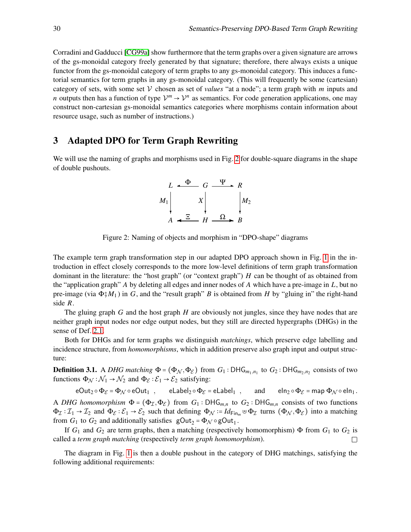Corradini and Gadducci [\[CG99a\]](#page-10-6) show furthermore that the term graphs over a given signature are arrows of the gs-monoidal category freely generated by that signature; therefore, there always exists a unique functor from the gs-monoidal category of term graphs to any gs-monoidal category. This induces a functorial semantics for term graphs in any gs-monoidal category. (This will frequently be some (cartesian) category of sets, with some set  $V$  chosen as set of *values* "at a node"; a term graph with *m* inputs and *n* outputs then has a function of type  $\mathcal{V}^m \to \mathcal{V}^n$  as semantics. For code generation applications, one may construct non-cartesian gs-monoidal semantics categories where morphisms contain information about resource usage, such as number of instructions.)

#### <span id="page-4-0"></span>3 Adapted DPO for Term Graph Rewriting

We will use the naming of graphs and morphisms used in Fig. [2](#page-4-1) for double-square diagrams in the shape of double pushouts.

$$
L \xrightarrow{\Phi} G \xrightarrow{\Psi} R
$$
  

$$
M_1 \downarrow \qquad X \downarrow \qquad \qquad M_2
$$
  

$$
A \xleftarrow{\Xi} H \xrightarrow{\Omega} B
$$

<span id="page-4-1"></span>Figure 2: Naming of objects and morphism in "DPO-shape" diagrams

The example term graph transformation step in our adapted DPO approach shown in Fig. [1](#page-1-0) in the introduction in effect closely corresponds to the more low-level definitions of term graph transformation dominant in the literature: the "host graph" (or "context graph") *H* can be thought of as obtained from the "application graph" *A* by deleting all edges and inner nodes of *A* which have a pre-image in *L*, but no pre-image (via  $\Phi^s M_1$ ) in *G*, and the "result graph" *B* is obtained from *H* by "gluing in" the right-hand side *R*.

The gluing graph *G* and the host graph *H* are obviously not jungles, since they have nodes that are neither graph input nodes nor edge output nodes, but they still are directed hypergraphs (DHGs) in the sense of Def. [2.1.](#page-2-1)

Both for DHGs and for term graphs we distinguish *matchings*, which preserve edge labelling and incidence structure, from *homomorphisms*, which in addition preserve also graph input and output structure:

**Definition 3.1.** A *DHG matching*  $\Phi = (\Phi_N, \Phi_{\mathcal{E}})$  from  $G_1 : \text{DHG}_{m_1,n_1}$  to  $G_2 : \text{DHG}_{m_2,n_2}$  consists of two functions  $\Phi_{\mathcal{N}} : \mathcal{N}_1 \to \mathcal{N}_2$  and  $\Phi_{\mathcal{E}} : \mathcal{E}_1 \to \mathcal{E}_2$  satisfying:

 $eOut_2 \circ \Phi_{\mathcal{E}} = \Phi_{\mathcal{N}} \circ eOut_1$ ,  $eLabel_2 \circ \Phi_{\mathcal{E}} = eLabel_1$ , and  $eIn_2 \circ \Phi_{\mathcal{E}} = map \Phi_{\mathcal{N}} \circ eIn_1$ . A *DHG homomorphism*  $\Phi = (\Phi_{\mathcal{I}}, \Phi_{\mathcal{E}})$  from  $G_1 : DHG_{m,n}$  to  $G_2 : DHG_{m,n}$  consists of two functions  $\Phi_{\mathcal{I}}: \mathcal{I}_1 \to \mathcal{I}_2$  and  $\Phi_{\mathcal{E}}: \mathcal{E}_1 \to \mathcal{E}_2$  such that defining  $\Phi_{\mathcal{N}} := Id_{\mathsf{Fin}_m} \uplus \Phi_{\mathcal{I}}$  turns  $(\Phi_{\mathcal{N}}, \Phi_{\mathcal{E}})$  into a matching from  $G_1$  to  $G_2$  and additionally satisfies  $gOut_2 = \Phi_N \circ gOut_1$ .

If  $G_1$  and  $G_2$  are term graphs, then a matching (respectively homomorphism)  $\Phi$  from  $G_1$  to  $G_2$  is called a *term graph matching* (respectively *term graph homomorphism*).  $\Box$ 

The diagram in Fig. [1](#page-1-0) is then a double pushout in the category of DHG matchings, satisfying the following additional requirements: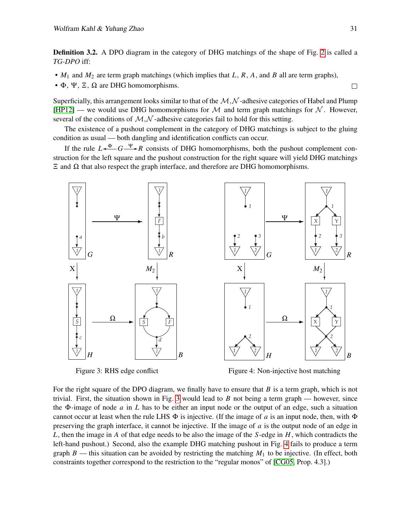Definition 3.2. A DPO diagram in the category of DHG matchings of the shape of Fig. [2](#page-4-1) is called a *TG-DPO* iff:

- *M*<sup>1</sup> and *M*<sup>2</sup> are term graph matchings (which implies that *L*, *R*, *A*, and *B* all are term graphs),
- Φ, Ψ, Ξ, Ω are DHG homomorphisms.

Superficially, this arrangement looks similar to that of the  $M,\mathcal{N}$ -adhesive categories of Habel and Plump [\[HP12\]](#page-10-5) — we would use DHG homomorphisms for  $M$  and term graph matchings for  $N$ . However, several of the conditions of  $M, N$ -adhesive categories fail to hold for this setting.

The existence of a pushout complement in the category of DHG matchings is subject to the gluing condition as usual — both dangling and identification conflicts can occur.

If the rule  $L \stackrel{\Phi}{\longleftrightarrow} G \stackrel{\Psi}{\longrightarrow} R$  consists of DHG homomorphisms, both the pushout complement construction for the left square and the pushout construction for the right square will yield DHG matchings  $\Xi$  and  $\Omega$  that also respect the graph interface, and therefore are DHG homomorphisms.



<span id="page-5-0"></span>Figure 5. Kins edge commet Figure 3: RHS edge conflict

<span id="page-5-1"></span>Figure 4: Non-injective host matching

trivial. First, the situation shown in Fig. [3](#page-5-0) would lead to *B* not being a term graph — however, since For the right square of the DPO diagram, we finally have to ensure that *B* is a term graph, which is not the Φ-image of node *a* in *L* has to be either an input node or the output of an edge, such a situation cannot occur at least when the rule LHS  $\Phi$  is injective. (If the image of *a* is an input node, then, with  $\Phi$ preserving the graph interface, it cannot be injective. If the image of *a* is the output node of an edge in *L*, then the image in *A* of that edge needs to be also the image of the *S*-edge in *H*, which contradicts the left-hand pushout.) Second, also the example DHG matching pushout in Fig. [4](#page-5-1) fails to produce a term graph  $B$  — this situation can be avoided by restricting the matching  $M_1$  to be injective. (In effect, both constraints together correspond to the restriction to the "regular monos" of [\[CG05,](#page-10-10) Prop. 4.3].)

 $\Box$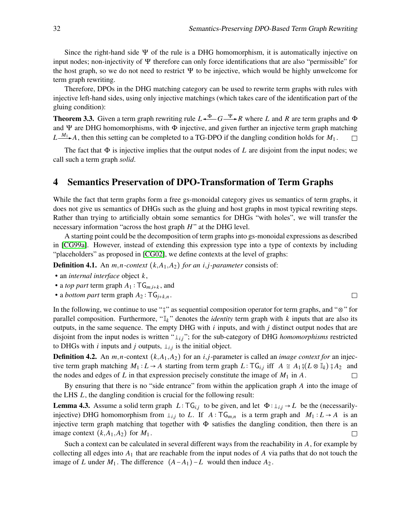Since the right-hand side  $\Psi$  of the rule is a DHG homomorphism, it is automatically injective on input nodes; non-injectivity of Ψ therefore can only force identifications that are also "permissible" for the host graph, so we do not need to restrict  $\Psi$  to be injective, which would be highly unwelcome for term graph rewriting.

Therefore, DPOs in the DHG matching category can be used to rewrite term graphs with rules with injective left-hand sides, using only injective matchings (which takes care of the identification part of the gluing condition):

<span id="page-6-1"></span>**Theorem 3.3.** Given a term graph rewriting rule  $L \stackrel{\Phi}{\longrightarrow} G \stackrel{\Psi}{\longrightarrow} R$  where *L* and *R* are term graphs and  $\Phi$ and Ψ are DHG homomorphisms, with Φ injective, and given further an injective term graph matching  $L \xrightarrow{M_1 \star} A$ , then this setting can be completed to a TG-DPO if the dangling condition holds for *M*<sub>1</sub>.  $\Box$ 

The fact that  $\Phi$  is injective implies that the output nodes of  $L$  are disjoint from the input nodes; we call such a term graph *solid*.

## <span id="page-6-0"></span>4 Semantics Preservation of DPO-Transformation of Term Graphs

While the fact that term graphs form a free gs-monoidal category gives us semantics of term graphs, it does not give us semantics of DHGs such as the gluing and host graphs in most typical rewriting steps. Rather than trying to artificially obtain some semantics for DHGs "with holes", we will transfer the necessary information "across the host graph *H*" at the DHG level.

A starting point could be the decomposition of term graphs into gs-monoidal expressions as described in [\[CG99a\]](#page-10-6). However, instead of extending this expression type into a type of contexts by including "placeholders" as proposed in [\[CG02\]](#page-10-7), we define contexts at the level of graphs:

**Definition 4.1.** An  $m, n$ -context  $(k, A_1, A_2)$  for an *i*,*j*-parameter consists of:

- an *internal interface* object *k*,
- a *top part* term graph  $A_1$ : T $G_{m,i+k}$ , and
- a *bottom part* term graph  $A_2$ :  $TG_{j+k,n}$ .

In the following, we continue to use ";" as sequential composition operator for term graphs, and "⊗" for parallel composition. Furthermore, " $\mathbb{I}_k$ " denotes the *identity* term graph with *k* inputs that are also its outputs, in the same sequence. The empty DHG with *i* inputs, and with *j* distinct output nodes that are disjoint from the input nodes is written " $\perp_{i,j}$ "; for the sub-category of DHG *homomorphisms* restricted to DHGs with *i* inputs and *j* outputs,  $\perp_{i,j}$  is the initial object.

<span id="page-6-2"></span>**Definition 4.2.** An  $m, n$ -context  $(k, A_1, A_2)$  for an *i*,*j*-parameter is called an *image context for* an injective term graph matching  $M_1 : L \to A$  starting from term graph  $L : TG_{i,j}$  iff  $A \cong A_1 \mathcal{G}(L \otimes \mathbb{I}_k) \mathcal{G}(A_2)$  and the nodes and adgres of *L* in that expression precisely constitute the image of *M* in *A* the nodes and edges of L in that expression precisely constitute the image of  $M_1$  in A.

By ensuring that there is no "side entrance" from within the application graph *A* into the image of the LHS *L*, the dangling condition is crucial for the following result:

**Lemma 4.3.** Assume a solid term graph  $L: TG_{i,j}$  to be given, and let  $\Phi: \perp_{i,j} \to L$  be the (necessarilyinjective) DHG homomorphism from  $\perp_{i,j}$  to *L*. If  $A: \mathsf{TG}_{m,n}$  is a term graph and  $M_1: L \to A$  is an injective term graph matching that together with  $\Phi$  satisfies the dangling condition, then there is an image context  $(k, A_1, A_2)$  for  $M_1$ . П

Such a context can be calculated in several different ways from the reachability in *A*, for example by collecting all edges into *A*<sup>1</sup> that are reachable from the input nodes of *A* via paths that do not touch the image of *L* under  $M_1$ . The difference  $(A - A_1) - L$  would then induce  $A_2$ .

 $\Box$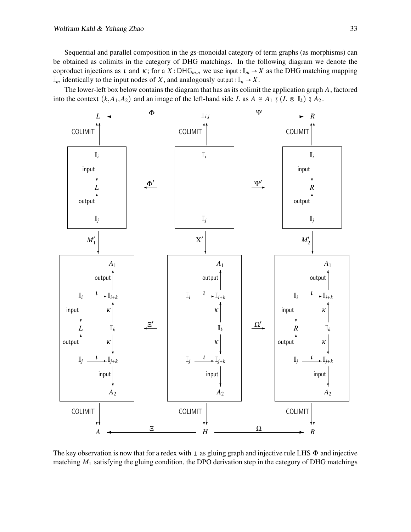Sequential and parallel composition in the gs-monoidal category of term graphs (as morphisms) can be obtained as colimits in the category of DHG matchings. In the following diagram we denote the coproduct injections as *t* and  $\kappa$ ; for a *X* ∶ DHG<sub>*m*,*n*</sub> we use input : I<sub>*m*</sub> → *X* as the DHG matching mapping  $\mathbb{I}_m$  identically to the input nodes of *X*, and analogously output ∶  $\mathbb{I}_n \to X$ .

The lower-left box below contains the diagram that has as its colimit the application graph *A*, factored into the context  $(k, A_1, A_2)$  and an image of the left-hand side *L* as  $A \cong A_1 \mathfrak{g}(L \otimes \mathbb{I}_k) \mathfrak{g}(A_2)$ .



The key observation is now that for a redex with  $\perp$  as gluing graph and injective rule LHS  $\Phi$  and injective matching *M*<sup>1</sup> satisfying the gluing condition, the DPO derivation step in the category of DHG matchings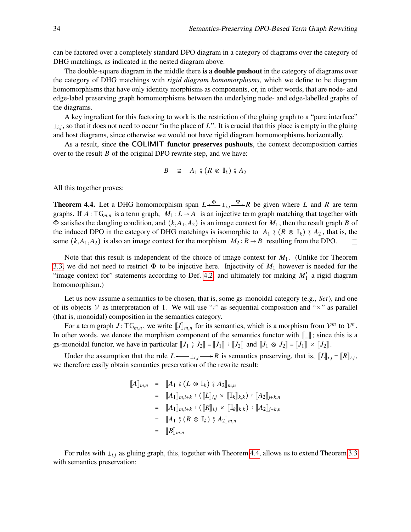can be factored over a completely standard DPO diagram in a category of diagrams over the category of DHG matchings, as indicated in the nested diagram above.

The double-square diagram in the middle there is a **double pushout** in the category of diagrams over the category of DHG matchings with *rigid diagram homomorphisms*, which we define to be diagram homomorphisms that have only identity morphisms as components, or, in other words, that are node- and edge-label preserving graph homomorphisms between the underlying node- and edge-labelled graphs of the diagrams.

A key ingredient for this factoring to work is the restriction of the gluing graph to a "pure interface"  $\perp_{i,j}$ , so that it does not need to occur "in the place of *L*". It is crucial that this place is empty in the gluing and host diagrams, since otherwise we would not have rigid diagram homomorphisms horizontally.

As a result, since the COLIMIT functor preserves pushouts, the context decomposition carries over to the result *B* of the original DPO rewrite step, and we have:

$$
B \cong A_1 \; \S \; (R \; \otimes \; \mathbb{I}_k) \; \S \; A_2
$$

All this together proves:

<span id="page-8-0"></span>**Theorem 4.4.** Let a DHG homomorphism span  $L \xleftarrow{\Phi} \perp_{i,j} \xrightarrow{\Psi} R$  be given where *L* and *R* are term graphs. If  $A: \mathsf{TG}_{m,n}$  is a term graph,  $M_1: L \to A$  is an injective term graph matching that together with  $\Phi$  satisfies the dangling condition, and  $(k, A_1, A_2)$  is an image context for  $M_1$ , then the result graph *B* of the induced DPO in the category of DHG matchings is isomorphic to *A*<sub>1</sub>  $\frac{6}{7}$  (*R* ⊗ I<sub>k</sub>)  $\frac{6}{7}$  *A*<sub>2</sub>, that is, the same (*k*,*A*<sub>1</sub>,*A*<sub>2</sub>) is also an image context for the morphism  $M_2 : R \rightarrow B$  resulting from t same  $(k, A_1, A_2)$  is also an image context for the morphism  $M_2 : R \rightarrow B$  resulting from the DPO.

Note that this result is independent of the choice of image context for *M*<sup>1</sup> . (Unlike for Theorem [3.3,](#page-6-1) we did not need to restrict  $\Phi$  to be injective here. Injectivity of  $M_1$  however is needed for the "image context for" statements according to Def. [4.2,](#page-6-2) and ultimately for making *M*′ 1 a rigid diagram homomorphism.)

Let us now assume a semantics to be chosen, that is, some gs-monoidal category (e.g., *Set*), and one of its objects V as interpretation of 1. We will use " $\cdot$ " as sequential composition and " $\times$ " as parallel (that is, monoidal) composition in the semantics category.

For a term graph *J* :  $TG_{m,n}$ , we write  $[J]_{m,n}$  for its semantics, which is a morphism from  $V^m$  to  $V^n$ . In other words, we denote the morphism component of the semantics functor with  $\llbracket \_ \ \rbracket$ ; since this is a gs-monoidal functor, we have in particular  $[[J_1 \ \hat{y} \ J_2]] = [[J_1]] : [[J_2]]$  and  $[[J_1 \otimes J_2]] = [[J_1]] \times [[J_2]]$ .

Under the assumption that the rule  $L \leftarrow \perp_{i,j} \longrightarrow R$  is semantics preserving, that is,  $[[L]]_{i,j} = [[R]]_{i,j}$ , therefore eachly obtain computies preservation of the required result: we therefore easily obtain semantics preservation of the rewrite result:

$$
\begin{array}{rcl}\n\llbracket A \rrbracket_{m,n} & = & \llbracket A_1 \; \hat{\mathfrak{z}} \, (L \otimes \mathbb{I}_k) \; \hat{\mathfrak{z}} \; A_2 \rrbracket_{m,n} \\
& = & \llbracket A_1 \rrbracket_{m,i+k} \; ; \; (\llbracket L \rrbracket_{i,j} \times \llbracket \mathbb{I}_k \rrbracket_{k,k}) \; ; \; \llbracket A_2 \rrbracket_{j+k,n} \\
& = & \llbracket A_1 \rrbracket_{m,i+k} \; ; \; (\llbracket R \rrbracket_{i,j} \times \llbracket \mathbb{I}_k \rrbracket_{k,k}) \; ; \; \llbracket A_2 \rrbracket_{j+k,n} \\
& = & \llbracket A_1 \; \hat{\mathfrak{z}} \, (R \otimes \mathbb{I}_k) \; \hat{\mathfrak{z}} \; A_2 \rrbracket_{m,n} \\
& = & \llbracket B \rrbracket_{m,n}\n\end{array}
$$

For rules with  $\perp_{i,j}$  as gluing graph, this, together with Theorem [4.4,](#page-8-0) allows us to extend Theorem [3.3](#page-6-1) with semantics preservation: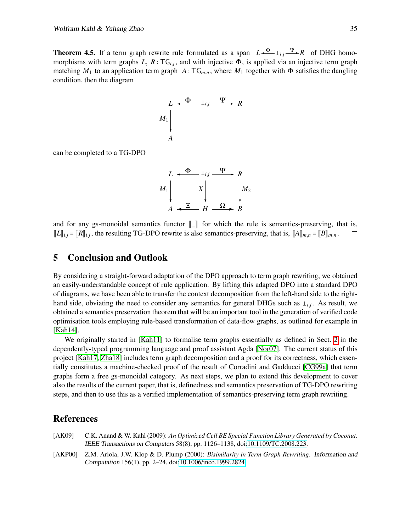**Theorem 4.5.** If a term graph rewrite rule formulated as a span  $L \xleftarrow{\Phi} \perp_{i,j} \xrightarrow{\Psi} R$  of DHG homomorphisms with term graphs  $L, R: TG_{i,j}$ , and with injective  $\Phi$ , is applied via an injective term graph matching  $M_1$  to an application term graph  $A: \mathsf{TG}_{m,n}$ , where  $M_1$  together with  $\Phi$  satisfies the dangling condition, then the diagram

$$
L \xrightarrow{ \Phi \qquad \perp_{i,j} \xrightarrow{ \Psi \qquad R}
$$
  

$$
M_1 \downarrow
$$
  

$$
A
$$

can be completed to a TG-DPO

$$
L \xrightarrow{\Phi} \perp_{i,j} \xrightarrow{\Psi} R
$$
  

$$
M_1 \downarrow \qquad X \downarrow \qquad M_2
$$
  

$$
A \xleftarrow{\Xi} H \xrightarrow{\Omega} B
$$

and for any gs-monoidal semantics functor  $[\![\_]\!]$  for which the rule is semantics-preserving, that is,  $[\![\mathbf{K}]\!]_{i,i} = [\![\mathbf{R}]\!]_{i,i}$ , the resulting TG-DPO rewrite is also semantics-preserving, that is,  $[\![\mathbf{A}]\!]_{m,n} =$  $[[L]]_{i,j} = [[R]]_{i,j}$ , the resulting TG-DPO rewrite is also semantics-preserving, that is,  $[[A]]_{m,n} = [[B]]_{m,n}$ .

## 5 Conclusion and Outlook

By considering a straight-forward adaptation of the DPO approach to term graph rewriting, we obtained an easily-understandable concept of rule application. By lifting this adapted DPO into a standard DPO of diagrams, we have been able to transfer the context decomposition from the left-hand side to the righthand side, obviating the need to consider any semantics for general DHGs such as  $\perp_{i,j}$ . As result, we obtained a semantics preservation theorem that will be an important tool in the generation of verified code optimisation tools employing rule-based transformation of data-flow graphs, as outlined for example in [\[Kah14\]](#page-10-14).

We originally started in [\[Kah11\]](#page-10-15) to formalise term graphs essentially as defined in Sect. [2](#page-2-0) in the dependently-typed programming language and proof assistant Agda [\[Nor07\]](#page-11-7). The current status of this project [\[Kah17,](#page-10-16) [Zha18\]](#page-11-8) includes term graph decomposition and a proof for its correctness, which essentially constitutes a machine-checked proof of the result of Corradini and Gadducci [\[CG99a\]](#page-10-6) that term graphs form a free gs-monoidal category. As next steps, we plan to extend this development to cover also the results of the current paper, that is, definedness and semantics preservation of TG-DPO rewriting steps, and then to use this as a verified implementation of semantics-preserving term graph rewriting.

#### References

- <span id="page-9-1"></span>[AK09] C.K. Anand & W. Kahl (2009): *An Optimized Cell BE Special Function Library Generated by Coconut*. IEEE Transactions on Computers 58(8), pp. 1126–1138, doi[:10.1109/TC.2008.223.](http://dx.doi.org/10.1109/TC.2008.223)
- <span id="page-9-0"></span>[AKP00] Z.M. Ariola, J.W. Klop & D. Plump (2000): *Bisimilarity in Term Graph Rewriting*. Information and Computation 156(1), pp. 2–24, doi[:10.1006/inco.1999.2824.](http://dx.doi.org/10.1006/inco.1999.2824)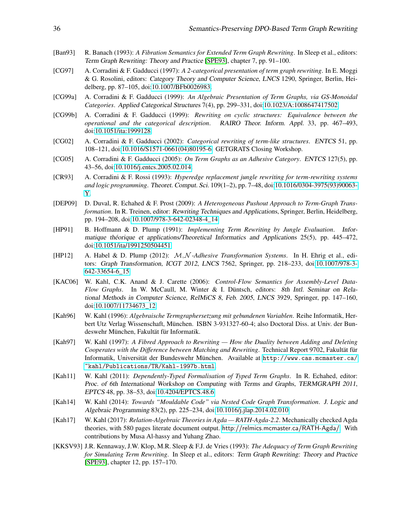- <span id="page-10-1"></span>[Ban93] R. Banach (1993): *A Fibration Semantics for Extended Term Graph Rewriting*. In Sleep et al., editors: Term Graph Rewriting: Theory and Practice [\[SPE93\]](#page-11-9), chapter 7, pp. 91–100.
- <span id="page-10-8"></span>[CG97] A. Corradini & F. Gadducci (1997): *A 2-categorical presentation of term graph rewriting*. In E. Moggi & G. Rosolini, editors: Category Theory and Computer Science, LNCS 1290, Springer, Berlin, Heidelberg, pp. 87–105, doi[:10.1007/BFb0026983.](http://dx.doi.org/10.1007/BFb0026983)
- <span id="page-10-6"></span>[CG99a] A. Corradini & F. Gadducci (1999): *An Algebraic Presentation of Term Graphs, via GS-Monoidal Categories*. Applied Categorical Structures 7(4), pp. 299–331, doi[:10.1023/A:1008647417502.](http://dx.doi.org/10.1023/A:1008647417502)
- <span id="page-10-9"></span>[CG99b] A. Corradini & F. Gadducci (1999): *Rewriting on cyclic structures: Equivalence between the operational and the categorical description*. RAIRO Theor. Inform. Appl. 33, pp. 467–493, doi[:10.1051/ita:1999128.](http://dx.doi.org/10.1051/ita:1999128)
- <span id="page-10-7"></span>[CG02] A. Corradini & F. Gadducci (2002): *Categorical rewriting of term-like structures*. ENTCS 51, pp. 108–121, doi[:10.1016/S1571-0661\(04\)80195-6.](http://dx.doi.org/10.1016/S1571-0661(04)80195-6) GETGRATS Closing Workshop.
- <span id="page-10-10"></span>[CG05] A. Corradini & F. Gadducci (2005): *On Term Graphs as an Adhesive Category*. ENTCS 127(5), pp. 43–56, doi[:10.1016/j.entcs.2005.02.014.](http://dx.doi.org/10.1016/j.entcs.2005.02.014)
- <span id="page-10-12"></span>[CR93] A. Corradini & F. Rossi (1993): *Hyperedge replacement jungle rewriting for term-rewriting systems and logic programming*. Theoret. Comput. Sci. 109(1–2), pp. 7–48, doi[:10.1016/0304-3975\(93\)90063-](http://dx.doi.org/10.1016/0304-3975(93)90063-Y) [Y.](http://dx.doi.org/10.1016/0304-3975(93)90063-Y)
- <span id="page-10-4"></span>[DEP09] D. Duval, R. Echahed & F. Prost (2009): *A Heterogeneous Pushout Approach to Term-Graph Transformation*. In R. Treinen, editor: Rewriting Techniques and Applications, Springer, Berlin, Heidelberg, pp. 194–208, doi[:10.1007/978-3-642-02348-4\\_14.](http://dx.doi.org/10.1007/978-3-642-02348-4_14)
- <span id="page-10-11"></span>[HP91] B. Hoffmann & D. Plump (1991): *Implementing Term Rewriting by Jungle Evaluation*. Informatique théorique et applications/Theoretical Informatics and Applications 25(5), pp. 445–472, doi[:10.1051/ita/1991250504451.](http://dx.doi.org/10.1051/ita/1991250504451)
- <span id="page-10-5"></span>[HP12] A. Habel & D. Plump (2012): M,N *-Adhesive Transformation Systems*. In H. Ehrig et al., editors: Graph Transformation, ICGT 2012, LNCS 7562, Springer, pp. 218–233, doi[:10.1007/978-3-](http://dx.doi.org/10.1007/978-3-642-33654-6_15) [642-33654-6\\_15.](http://dx.doi.org/10.1007/978-3-642-33654-6_15)
- <span id="page-10-13"></span>[KAC06] W. Kahl, C.K. Anand & J. Carette (2006): *Control-Flow Semantics for Assembly-Level Data-Flow Graphs*. In W. McCaull, M. Winter & I. Düntsch, editors: 8th Intl. Seminar on Relational Methods in Computer Science, RelMiCS 8, Feb. 2005, LNCS 3929, Springer, pp. 147–160, doi[:10.1007/11734673\\_12.](http://dx.doi.org/10.1007/11734673_12)
- <span id="page-10-2"></span>[Kah96] W. Kahl (1996): *Algebraische Termgraphersetzung mit gebundenen Variablen*. Reihe Informatik, Herbert Utz Verlag Wissenschaft, München. ISBN 3-931327-60-4; also Doctoral Diss. at Univ. der Bundeswehr München, Fakultät für Informatik.
- <span id="page-10-3"></span>[Kah97] W. Kahl (1997): *A Fibred Approach to Rewriting — How the Duality between Adding and Deleting Cooperates with the Difference between Matching and Rewriting*. Technical Report 9702, Fakultät für Informatik, Universität der Bundeswehr München. Available at [http://www.cas.mcmaster.ca/](http://www.cas.mcmaster.ca/~kahl/Publications/TR/Kahl-1997b.html) [~kahl/Publications/TR/Kahl-1997b.html](http://www.cas.mcmaster.ca/~kahl/Publications/TR/Kahl-1997b.html).
- <span id="page-10-15"></span>[Kah11] W. Kahl (2011): *Dependently-Typed Formalisation of Typed Term Graphs*. In R. Echahed, editor: Proc. of 6th International Workshop on Computing with Terms and Graphs, TERMGRAPH 2011, EPTCS 48, pp. 38–53, doi[:10.4204/EPTCS.48.6.](http://dx.doi.org/10.4204/EPTCS.48.6)
- <span id="page-10-14"></span>[Kah14] W. Kahl (2014): *Towards "Mouldable Code" via Nested Code Graph Transformation*. J. Logic and Algebraic Programming 83(2), pp. 225–234, doi[:10.1016/j.jlap.2014.02.010.](http://dx.doi.org/10.1016/j.jlap.2014.02.010)
- <span id="page-10-16"></span>[Kah17] W. Kahl (2017): *Relation-Algebraic Theories in Agda — RATH-Agda-2.2*. Mechanically checked Agda theories, with 580 pages literate document output. <http://relmics.mcmaster.ca/RATH-Agda/>. With contributions by Musa Al-hassy and Yuhang Zhao.
- <span id="page-10-0"></span>[KKSV93] J.R. Kennaway, J.W. Klop, M.R. Sleep & F.J. de Vries (1993): *The Adequacy of Term Graph Rewriting for Simulating Term Rewriting*. In Sleep et al., editors: Term Graph Rewriting: Theory and Practice [\[SPE93\]](#page-11-9), chapter 12, pp. 157–170.